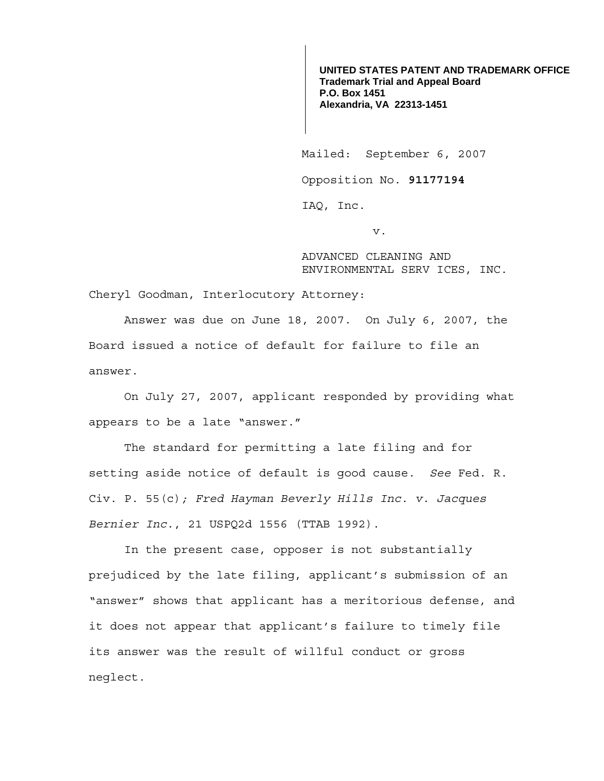**UNITED STATES PATENT AND TRADEMARK OFFICE Trademark Trial and Appeal Board P.O. Box 1451 Alexandria, VA 22313-1451**

Mailed: September 6, 2007

Opposition No. **91177194** 

IAQ, Inc.

v.

ADVANCED CLEANING AND ENVIRONMENTAL SERV ICES, INC.

Cheryl Goodman, Interlocutory Attorney:

 Answer was due on June 18, 2007. On July 6, 2007, the Board issued a notice of default for failure to file an answer.

 On July 27, 2007, applicant responded by providing what appears to be a late "answer."

The standard for permitting a late filing and for setting aside notice of default is good cause. *See* Fed. R. Civ. P. 55(c)*; Fred Hayman Beverly Hills Inc. v. Jacques Bernier Inc.*, 21 USPQ2d 1556 (TTAB 1992).

In the present case, opposer is not substantially prejudiced by the late filing, applicant's submission of an "answer" shows that applicant has a meritorious defense, and it does not appear that applicant's failure to timely file its answer was the result of willful conduct or gross neglect.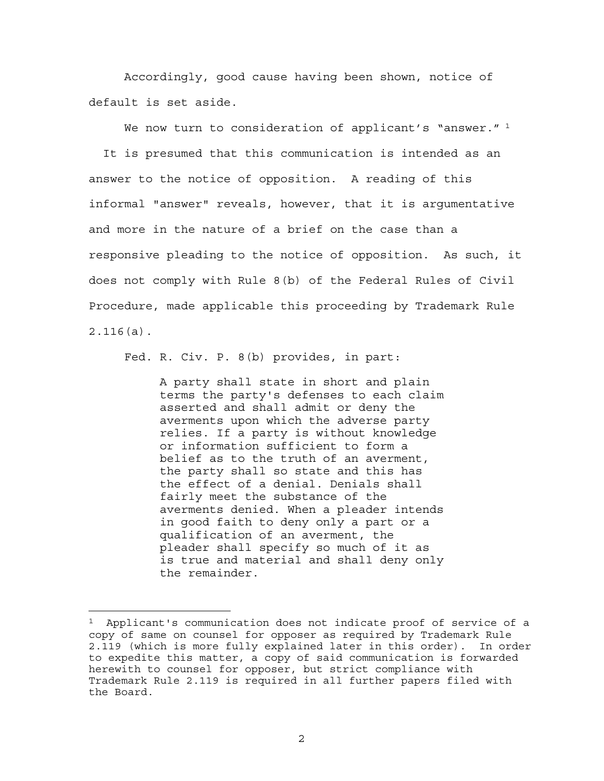Accordingly, good cause having been shown, notice of default is set aside.

We now turn to consideration of applicant's "answer."  $1$  It is presumed that this communication is intended as an answer to the notice of opposition. A reading of this informal "answer" reveals, however, that it is argumentative and more in the nature of a brief on the case than a responsive pleading to the notice of opposition. As such, it does not comply with Rule 8(b) of the Federal Rules of Civil Procedure, made applicable this proceeding by Trademark Rule 2.116(a).

Fed. R. Civ. P. 8(b) provides, in part:

e<br>S

A party shall state in short and plain terms the party's defenses to each claim asserted and shall admit or deny the averments upon which the adverse party relies. If a party is without knowledge or information sufficient to form a belief as to the truth of an averment, the party shall so state and this has the effect of a denial. Denials shall fairly meet the substance of the averments denied. When a pleader intends in good faith to deny only a part or a qualification of an averment, the pleader shall specify so much of it as is true and material and shall deny only the remainder.

2

<sup>&</sup>lt;sup>1</sup> Applicant's communication does not indicate proof of service of a copy of same on counsel for opposer as required by Trademark Rule 2.119 (which is more fully explained later in this order). In order to expedite this matter, a copy of said communication is forwarded herewith to counsel for opposer, but strict compliance with Trademark Rule 2.119 is required in all further papers filed with the Board.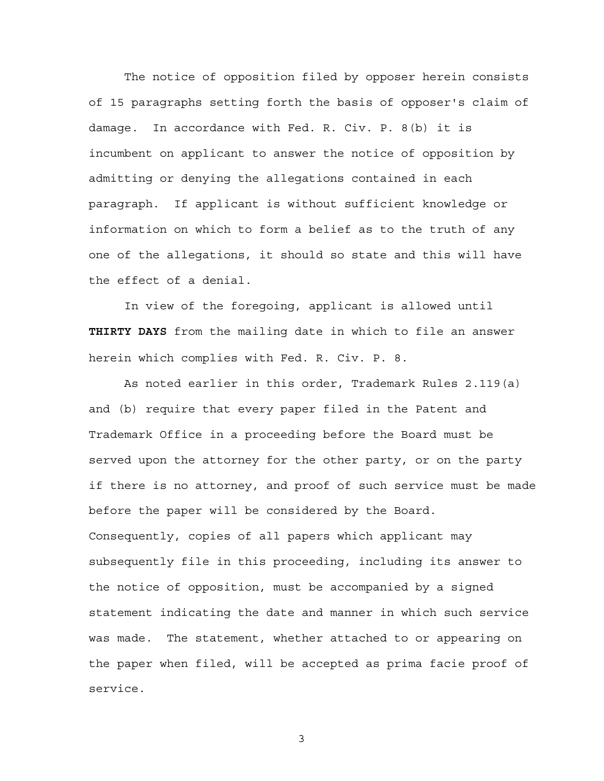The notice of opposition filed by opposer herein consists of 15 paragraphs setting forth the basis of opposer's claim of damage. In accordance with Fed. R. Civ. P. 8(b) it is incumbent on applicant to answer the notice of opposition by admitting or denying the allegations contained in each paragraph. If applicant is without sufficient knowledge or information on which to form a belief as to the truth of any one of the allegations, it should so state and this will have the effect of a denial.

 In view of the foregoing, applicant is allowed until **THIRTY DAYS** from the mailing date in which to file an answer herein which complies with Fed. R. Civ. P. 8.

 As noted earlier in this order, Trademark Rules 2.119(a) and (b) require that every paper filed in the Patent and Trademark Office in a proceeding before the Board must be served upon the attorney for the other party, or on the party if there is no attorney, and proof of such service must be made before the paper will be considered by the Board. Consequently, copies of all papers which applicant may subsequently file in this proceeding, including its answer to the notice of opposition, must be accompanied by a signed statement indicating the date and manner in which such service was made. The statement, whether attached to or appearing on the paper when filed, will be accepted as prima facie proof of service.

3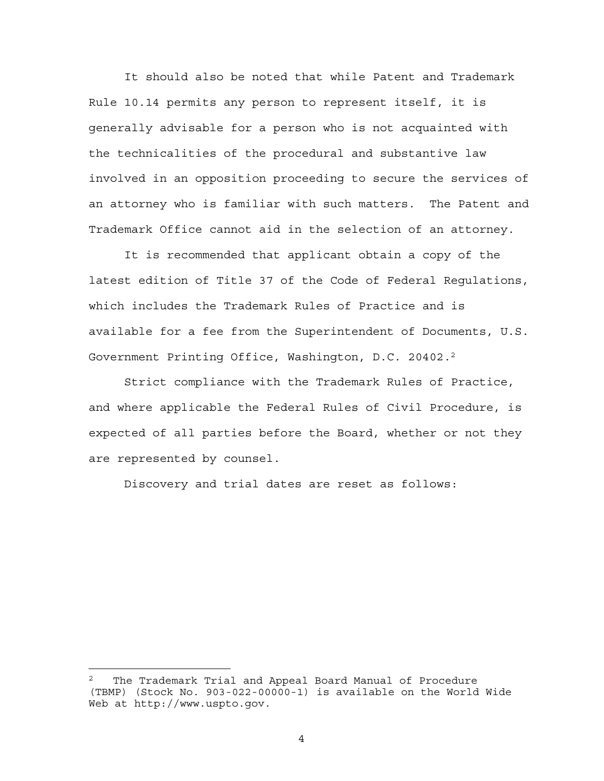It should also be noted that while Patent and Trademark Rule 10.14 permits any person to represent itself, it is generally advisable for a person who is not acquainted with the technicalities of the procedural and substantive law involved in an opposition proceeding to secure the services of an attorney who is familiar with such matters. The Patent and Trademark Office cannot aid in the selection of an attorney.

 It is recommended that applicant obtain a copy of the latest edition of Title 37 of the Code of Federal Regulations, which includes the Trademark Rules of Practice and is available for a fee from the Superintendent of Documents, U.S. Government Printing Office, Washington, D.C. 20402.2

 Strict compliance with the Trademark Rules of Practice, and where applicable the Federal Rules of Civil Procedure, is expected of all parties before the Board, whether or not they are represented by counsel.

Discovery and trial dates are reset as follows:

e<br>S

The Trademark Trial and Appeal Board Manual of Procedure (TBMP) (Stock No. 903-022-00000-1) is available on the World Wide Web at http://www.uspto.gov.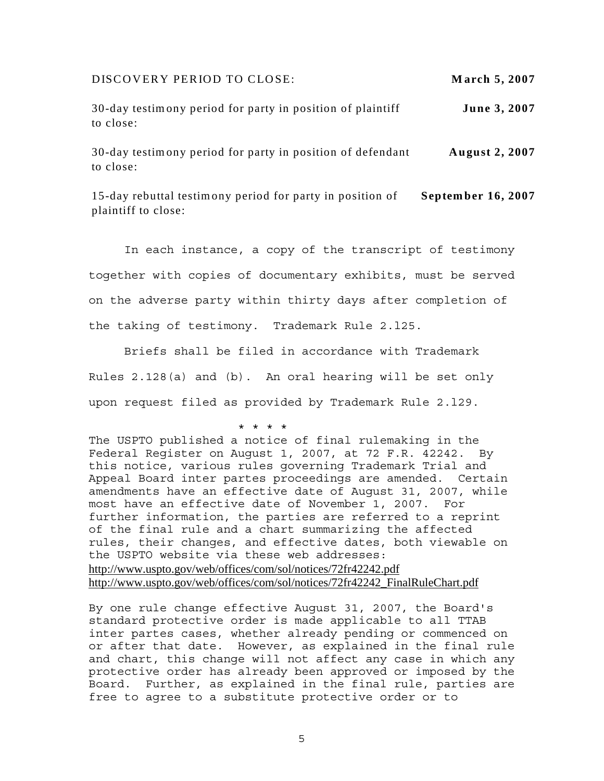DISCOVERY PERIOD TO CLOSE: **M arch 5, 2007**

**June 3, 2007** 30-day testimony period for party in position of plaintiff to close:

**August 2, 2007** 30-day testimony period for party in position of defendant to close:

**September 16, 2007** 15-day rebuttal testimony period for party in position of plaintiff to close:

 In each instance, a copy of the transcript of testimony together with copies of documentary exhibits, must be served on the adverse party within thirty days after completion of the taking of testimony. Trademark Rule 2.l25.

Briefs shall be filed in accordance with Trademark Rules 2.128(a) and (b). An oral hearing will be set only upon request filed as provided by Trademark Rule 2.l29.

 \* \* \* \* The USPTO published a notice of final rulemaking in the Federal Register on August 1, 2007, at 72 F.R. 42242. By this notice, various rules governing Trademark Trial and Appeal Board inter partes proceedings are amended. Certain amendments have an effective date of August 31, 2007, while most have an effective date of November 1, 2007. For further information, the parties are referred to a reprint of the final rule and a chart summarizing the affected rules, their changes, and effective dates, both viewable on the USPTO website via these web addresses: http://www.uspto.gov/web/offices/com/sol/notices/72fr42242.pdf http://www.uspto.gov/web/offices/com/sol/notices/72fr42242\_FinalRuleChart.pdf

By one rule change effective August 31, 2007, the Board's standard protective order is made applicable to all TTAB inter partes cases, whether already pending or commenced on or after that date. However, as explained in the final rule and chart, this change will not affect any case in which any protective order has already been approved or imposed by the Board. Further, as explained in the final rule, parties are free to agree to a substitute protective order or to